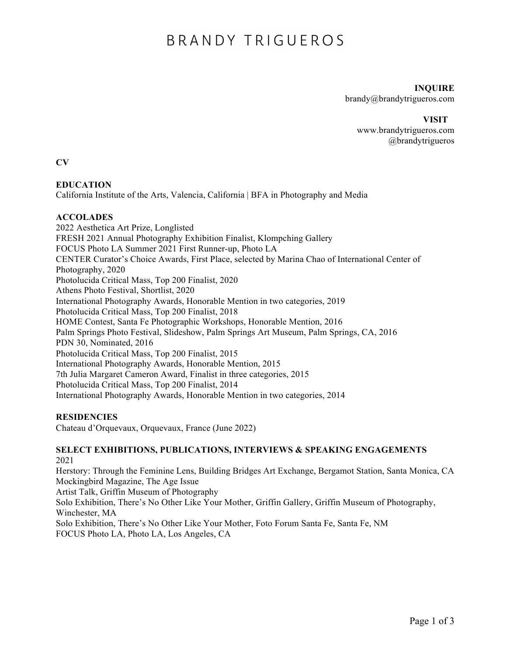# BRANDY TRIGUEROS

# **INQUIRE**

brandy@brandytrigueros.com

#### **VISIT**

www.brandytrigueros.com @brandytrigueros

**CV**

# **EDUCATION**

California Institute of the Arts, Valencia, California | BFA in Photography and Media

# **ACCOLADES**

2022 Aesthetica Art Prize, Longlisted FRESH 2021 Annual Photography Exhibition Finalist, Klompching Gallery FOCUS Photo LA Summer 2021 First Runner-up, Photo LA CENTER Curator's Choice Awards, First Place, selected by Marina Chao of International Center of Photography, 2020 Photolucida Critical Mass, Top 200 Finalist, 2020 Athens Photo Festival, Shortlist, 2020 International Photography Awards, Honorable Mention in two categories, 2019 Photolucida Critical Mass, Top 200 Finalist, 2018 HOME Contest, Santa Fe Photographic Workshops, Honorable Mention, 2016 Palm Springs Photo Festival, Slideshow, Palm Springs Art Museum, Palm Springs, CA, 2016 PDN 30, Nominated, 2016 Photolucida Critical Mass, Top 200 Finalist, 2015 International Photography Awards, Honorable Mention, 2015 7th Julia Margaret Cameron Award, Finalist in three categories, 2015 Photolucida Critical Mass, Top 200 Finalist, 2014 International Photography Awards, Honorable Mention in two categories, 2014

# **RESIDENCIES**

Chateau d'Orquevaux, Orquevaux, France (June 2022)

#### **SELECT EXHIBITIONS, PUBLICATIONS, INTERVIEWS & SPEAKING ENGAGEMENTS** 2021

Herstory: Through the Feminine Lens, Building Bridges Art Exchange, Bergamot Station, Santa Monica, CA Mockingbird Magazine, The Age Issue

Artist Talk, Griffin Museum of Photography

Solo Exhibition, There's No Other Like Your Mother, Griffin Gallery, Griffin Museum of Photography, Winchester, MA

Solo Exhibition, There's No Other Like Your Mother, Foto Forum Santa Fe, Santa Fe, NM FOCUS Photo LA, Photo LA, Los Angeles, CA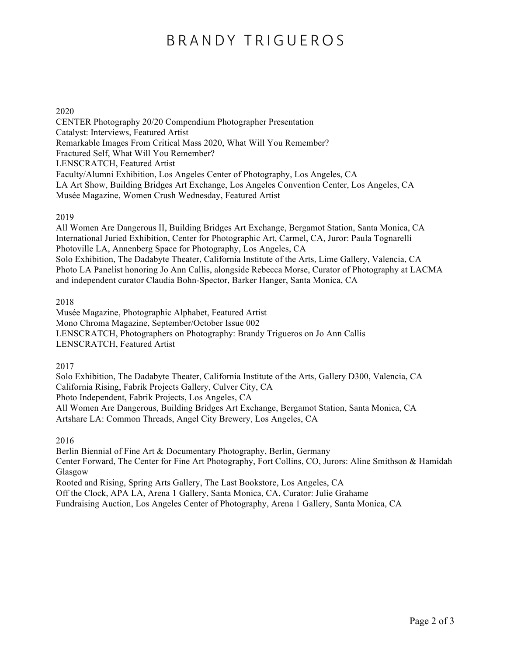# BRANDY TRIGUEROS

### 2020

CENTER Photography 20/20 Compendium Photographer Presentation Catalyst: Interviews, Featured Artist Remarkable Images From Critical Mass 2020, What Will You Remember? Fractured Self, What Will You Remember? LENSCRATCH, Featured Artist Faculty/Alumni Exhibition, Los Angeles Center of Photography, Los Angeles, CA LA Art Show, Building Bridges Art Exchange, Los Angeles Convention Center, Los Angeles, CA Musée Magazine, Women Crush Wednesday, Featured Artist

#### 2019

All Women Are Dangerous II, Building Bridges Art Exchange, Bergamot Station, Santa Monica, CA International Juried Exhibition, Center for Photographic Art, Carmel, CA, Juror: Paula Tognarelli Photoville LA, Annenberg Space for Photography, Los Angeles, CA Solo Exhibition, The Dadabyte Theater, California Institute of the Arts, Lime Gallery, Valencia, CA Photo LA Panelist honoring Jo Ann Callis, alongside Rebecca Morse, Curator of Photography at LACMA and independent curator Claudia Bohn-Spector, Barker Hanger, Santa Monica, CA

#### 2018

Musée Magazine, Photographic Alphabet, Featured Artist Mono Chroma Magazine, September/October Issue 002 LENSCRATCH, Photographers on Photography: Brandy Trigueros on Jo Ann Callis LENSCRATCH, Featured Artist

2017

Solo Exhibition, The Dadabyte Theater, California Institute of the Arts, Gallery D300, Valencia, CA California Rising, Fabrik Projects Gallery, Culver City, CA Photo Independent, Fabrik Projects, Los Angeles, CA All Women Are Dangerous, Building Bridges Art Exchange, Bergamot Station, Santa Monica, CA Artshare LA: Common Threads, Angel City Brewery, Los Angeles, CA

2016

Berlin Biennial of Fine Art & Documentary Photography, Berlin, Germany Center Forward, The Center for Fine Art Photography, Fort Collins, CO, Jurors: Aline Smithson & Hamidah Glasgow Rooted and Rising, Spring Arts Gallery, The Last Bookstore, Los Angeles, CA Off the Clock, APA LA, Arena 1 Gallery, Santa Monica, CA, Curator: Julie Grahame

Fundraising Auction, Los Angeles Center of Photography, Arena 1 Gallery, Santa Monica, CA